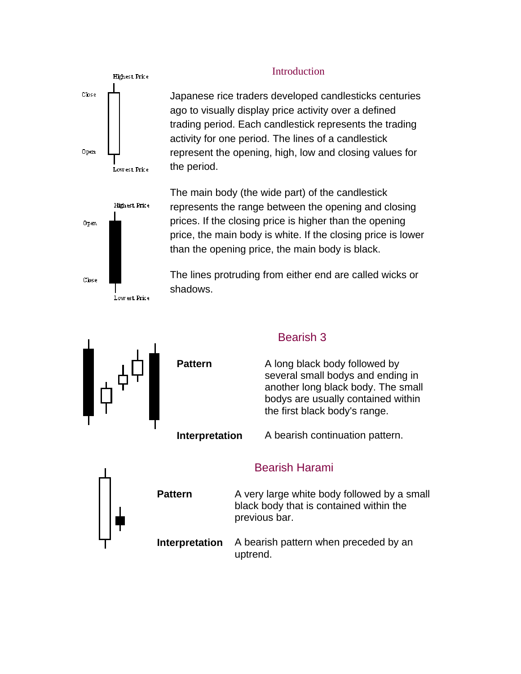

#### Introduction

Japanese rice traders developed candlesticks centuries ago to visually display price activity over a defined trading period. Each candlestick represents the trading activity for one period. The lines of a candlestick represent the opening, high, low and closing values for the period.



The main body (the wide part) of the candlestick represents the range between the opening and closing prices. If the closing price is higher than the opening price, the main body is white. If the closing price is lower than the opening price, the main body is black.

The lines protruding from either end are called wicks or shadows.

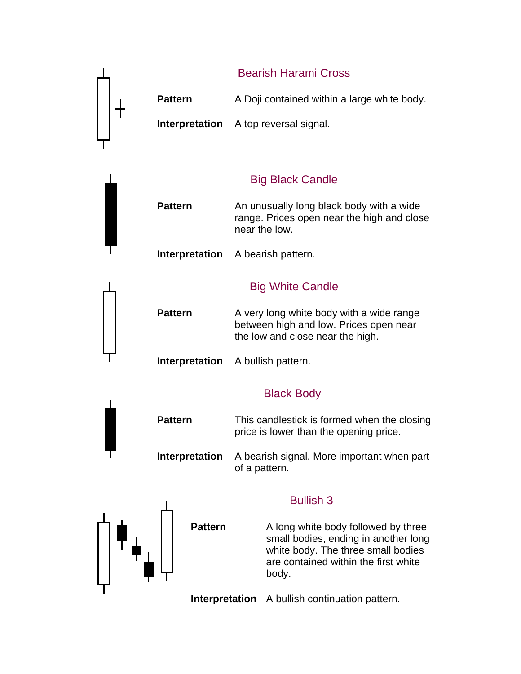

**Interpretation** A bullish continuation pattern.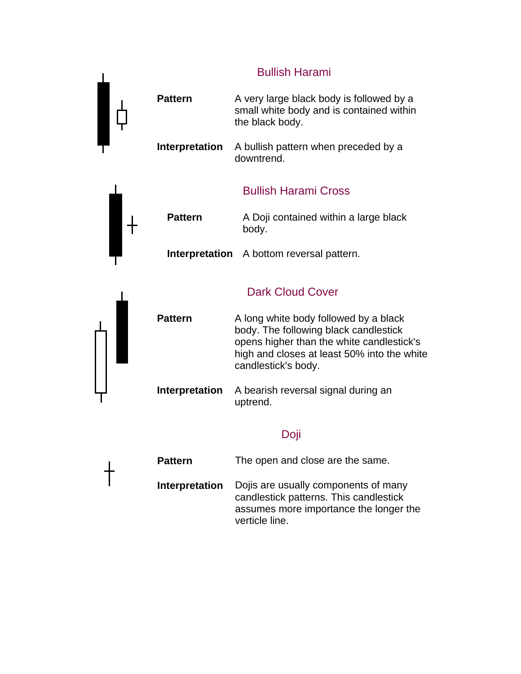#### Bullish Harami



**Pattern** The open and close are the same. **Interpretation** Dojis are usually components of many candlestick patterns. This candlestick assumes more importance the longer the verticle line.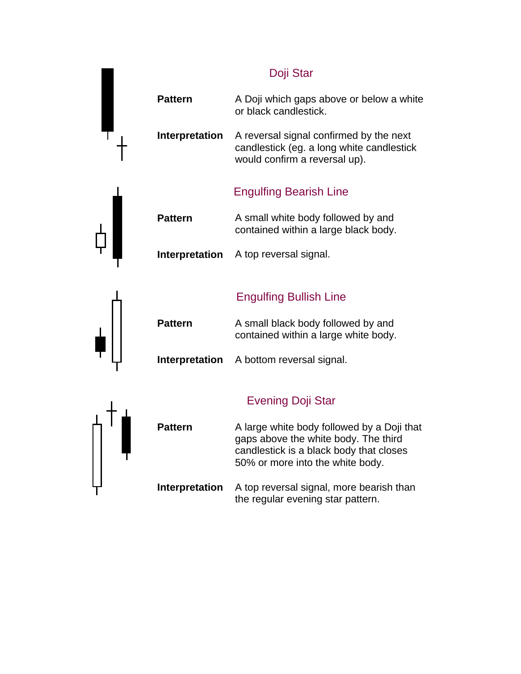|                       | Doji Star                                                                                                                                                         |
|-----------------------|-------------------------------------------------------------------------------------------------------------------------------------------------------------------|
| <b>Pattern</b>        | A Doji which gaps above or below a white<br>or black candlestick.                                                                                                 |
| Interpretation        | A reversal signal confirmed by the next<br>candlestick (eg. a long white candlestick<br>would confirm a reversal up).                                             |
|                       | <b>Engulfing Bearish Line</b>                                                                                                                                     |
| <b>Pattern</b>        | A small white body followed by and<br>contained within a large black body.                                                                                        |
| <b>Interpretation</b> | A top reversal signal.                                                                                                                                            |
|                       |                                                                                                                                                                   |
|                       | <b>Engulfing Bullish Line</b>                                                                                                                                     |
| <b>Pattern</b>        | A small black body followed by and<br>contained within a large white body.                                                                                        |
| <b>Interpretation</b> | A bottom reversal signal.                                                                                                                                         |
|                       | <b>Evening Doji Star</b>                                                                                                                                          |
| <b>Pattern</b>        | A large white body followed by a Doji that<br>gaps above the white body. The third<br>candlestick is a black body that closes<br>50% or more into the white body. |
| Interpretation        | A top reversal signal, more bearish than<br>the regular evening star pattern.                                                                                     |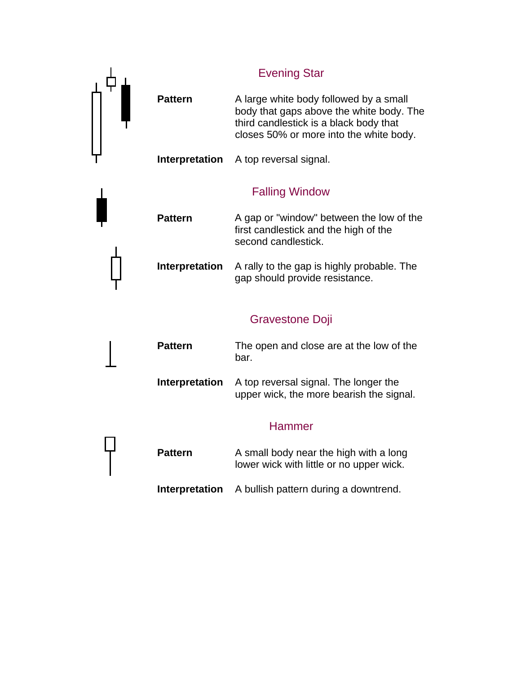|                       | <b>Evening Star</b>                                                                                                                                                     |
|-----------------------|-------------------------------------------------------------------------------------------------------------------------------------------------------------------------|
| <b>Pattern</b>        | A large white body followed by a small<br>body that gaps above the white body. The<br>third candlestick is a black body that<br>closes 50% or more into the white body. |
| Interpretation        | A top reversal signal.                                                                                                                                                  |
|                       | <b>Falling Window</b>                                                                                                                                                   |
| <b>Pattern</b>        | A gap or "window" between the low of the<br>first candlestick and the high of the<br>second candlestick.                                                                |
| Interpretation        | A rally to the gap is highly probable. The<br>gap should provide resistance.                                                                                            |
|                       | <b>Gravestone Doji</b>                                                                                                                                                  |
| <b>Pattern</b>        | The open and close are at the low of the<br>bar.                                                                                                                        |
| Interpretation        | A top reversal signal. The longer the<br>upper wick, the more bearish the signal.                                                                                       |
|                       | <b>Hammer</b>                                                                                                                                                           |
| <b>Pattern</b>        | A small body near the high with a long<br>lower wick with little or no upper wick.                                                                                      |
| <b>Interpretation</b> | A bullish pattern during a downtrend.                                                                                                                                   |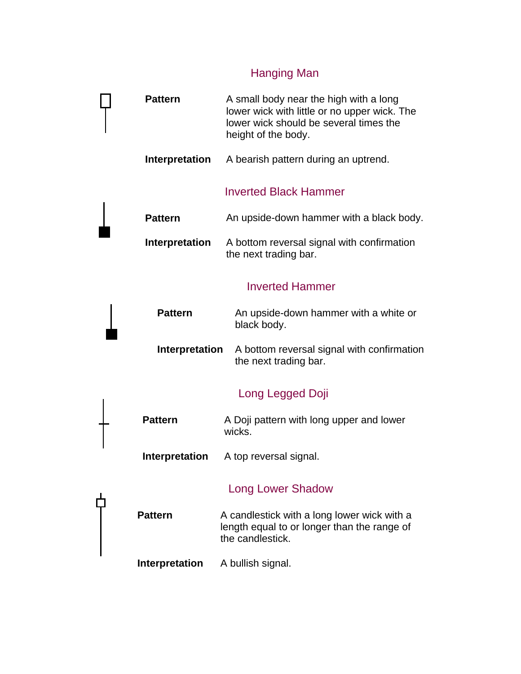# Hanging Man

| <b>Pattern</b>        | A small body near the high with a long<br>lower wick with little or no upper wick. The<br>lower wick should be several times the<br>height of the body. |
|-----------------------|---------------------------------------------------------------------------------------------------------------------------------------------------------|
| Interpretation        | A bearish pattern during an uptrend.                                                                                                                    |
|                       | <b>Inverted Black Hammer</b>                                                                                                                            |
| <b>Pattern</b>        | An upside-down hammer with a black body.                                                                                                                |
| <b>Interpretation</b> | A bottom reversal signal with confirmation<br>the next trading bar.                                                                                     |
|                       | <b>Inverted Hammer</b>                                                                                                                                  |
| <b>Pattern</b>        | An upside-down hammer with a white or<br>black body.                                                                                                    |
| <b>Interpretation</b> | A bottom reversal signal with confirmation<br>the next trading bar.                                                                                     |
|                       | Long Legged Doji                                                                                                                                        |
| <b>Pattern</b>        | A Doji pattern with long upper and lower<br>wicks.                                                                                                      |
| Interpretation        | A top reversal signal.                                                                                                                                  |
|                       | <b>Long Lower Shadow</b>                                                                                                                                |
| <b>Pattern</b>        | A candlestick with a long lower wick with a<br>length equal to or longer than the range of<br>the candlestick.                                          |
| Interpretation        | A bullish signal.                                                                                                                                       |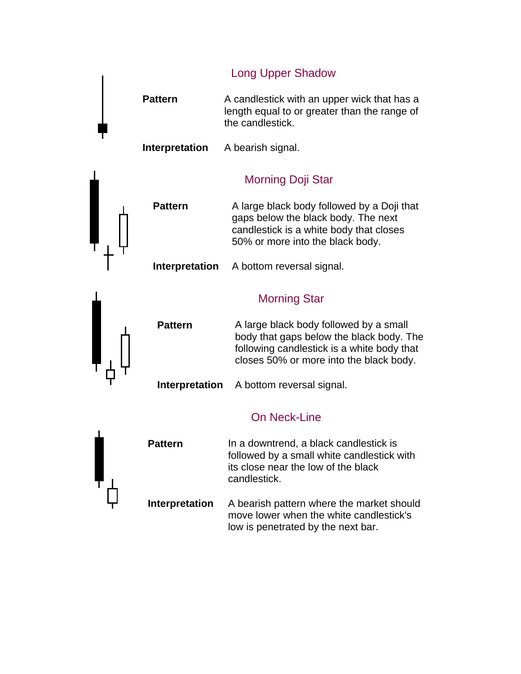Long Upper Shadow

**Pattern** A candlestick with an upper wick that has a length equal to or greater than the range of the candlestick.

**Interpretation** A bearish signal.

#### Morning Doji Star

**Pattern** A large black body followed by a Doji that gaps below the black body. The next candlestick is a white body that closes 50% or more into the black body.

**Interpretation** A bottom reversal signal.

#### Morning Star

**Pattern** A large black body followed by a small body that gaps below the black body. The following candlestick is a white body that closes 50% or more into the black body.

**Interpretation** A bottom reversal signal.

## On Neck-Line

**Pattern** In a downtrend, a black candlestick is followed by a small white candlestick with its close near the low of the black candlestick. **Interpretation** A bearish pattern where the market should

move lower when the white candlestick's low is penetrated by the next bar.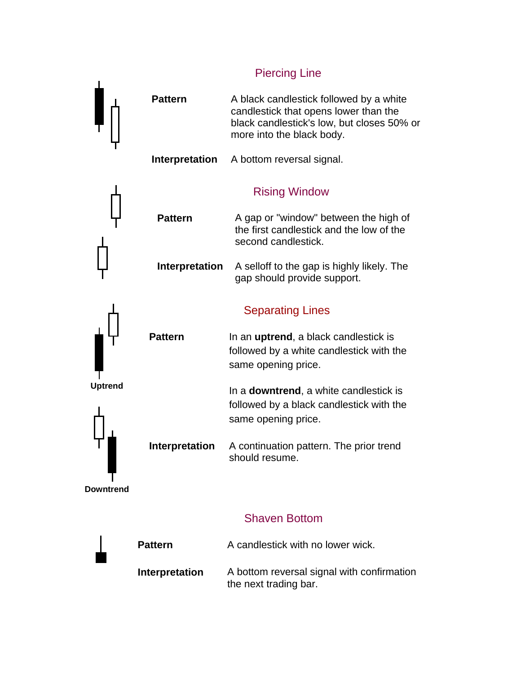### Piercing Line

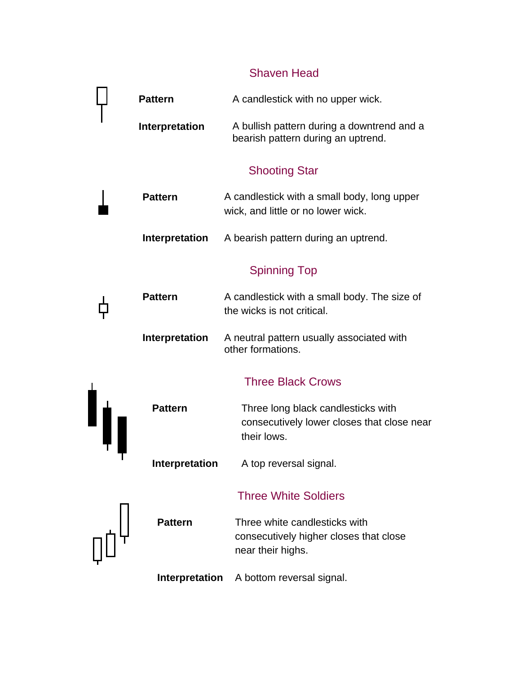## Shaven Head

|  | <b>Pattern</b>        | A candlestick with no upper wick.                                                               |
|--|-----------------------|-------------------------------------------------------------------------------------------------|
|  | Interpretation        | A bullish pattern during a downtrend and a<br>bearish pattern during an uptrend.                |
|  |                       | <b>Shooting Star</b>                                                                            |
|  | <b>Pattern</b>        | A candlestick with a small body, long upper<br>wick, and little or no lower wick.               |
|  | <b>Interpretation</b> | A bearish pattern during an uptrend.                                                            |
|  |                       | <b>Spinning Top</b>                                                                             |
|  | <b>Pattern</b>        | A candlestick with a small body. The size of<br>the wicks is not critical.                      |
|  | Interpretation        | A neutral pattern usually associated with<br>other formations.                                  |
|  |                       | <b>Three Black Crows</b>                                                                        |
|  | <b>Pattern</b>        | Three long black candlesticks with<br>consecutively lower closes that close near<br>their lows. |
|  | Interpretation        | A top reversal signal.                                                                          |
|  |                       | <b>Three White Soldiers</b>                                                                     |
|  | <b>Pattern</b>        | Three white candlesticks with<br>consecutively higher closes that close<br>near their highs.    |
|  | <b>Interpretation</b> | A bottom reversal signal.                                                                       |